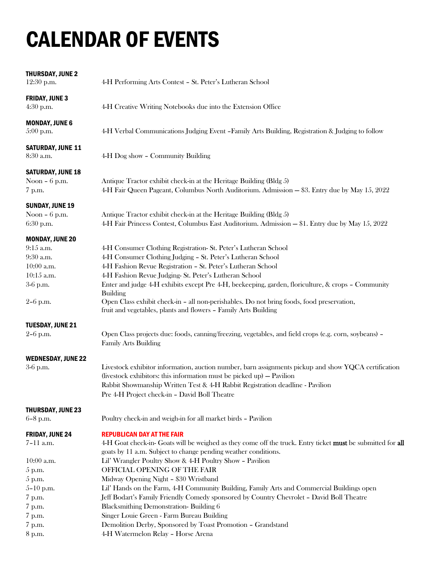# CALENDAR OF EVENTS

| <b>THURSDAY, JUNE 2</b><br>$12:30$ p.m.                                                                      | 4-H Performing Arts Contest - St. Peter's Lutheran School                                                                                                                                                                                                                                                                                                                                                                                                                      |
|--------------------------------------------------------------------------------------------------------------|--------------------------------------------------------------------------------------------------------------------------------------------------------------------------------------------------------------------------------------------------------------------------------------------------------------------------------------------------------------------------------------------------------------------------------------------------------------------------------|
| <b>FRIDAY, JUNE 3</b><br>$4:30$ p.m.                                                                         | 4-H Creative Writing Notebooks due into the Extension Office                                                                                                                                                                                                                                                                                                                                                                                                                   |
| <b>MONDAY, JUNE 6</b><br>$5:00$ p.m.                                                                         | 4-H Verbal Communications Judging Event – Family Arts Building, Registration & Judging to follow                                                                                                                                                                                                                                                                                                                                                                               |
| <b>SATURDAY, JUNE 11</b><br>$8:30$ a.m.                                                                      | 4-H Dog show - Community Building                                                                                                                                                                                                                                                                                                                                                                                                                                              |
| <b>SATURDAY, JUNE 18</b><br>Noon $-6$ p.m.<br>7 p.m.                                                         | Antique Tractor exhibit check-in at the Heritage Building (Bldg 5)<br>4-H Fair Queen Pageant, Columbus North Auditorium. Admission – \$3. Entry due by May 15, 2022                                                                                                                                                                                                                                                                                                            |
| <b>SUNDAY, JUNE 19</b><br>Noon $-6$ p.m.<br>6:30 p.m.                                                        | Antique Tractor exhibit check-in at the Heritage Building (Bldg 5)<br>4-H Fair Princess Contest, Columbus East Auditorium. Admission – \$1. Entry due by May 15, 2022                                                                                                                                                                                                                                                                                                          |
| <b>MONDAY, JUNE 20</b><br>$9:15$ a.m.<br>9:30 a.m.<br>$10:00$ a.m.<br>$10:15$ a.m.<br>3-6 p.m.<br>$2-6$ p.m. | 4-H Consumer Clothing Registration- St. Peter's Lutheran School<br>4-H Consumer Clothing Judging - St. Peter's Lutheran School<br>4-H Fashion Revue Registration - St. Peter's Lutheran School<br>4-H Fashion Revue Judging- St. Peter's Lutheran School<br>Enter and judge 4-H exhibits except Pre 4-H, beekeeping, garden, floriculture, & crops - Community<br><b>Building</b><br>Open Class exhibit check-in - all non-perishables. Do not bring foods, food preservation, |
| <b>TUESDAY, JUNE 21</b>                                                                                      | fruit and vegetables, plants and flowers - Family Arts Building                                                                                                                                                                                                                                                                                                                                                                                                                |
| $2-6$ p.m.                                                                                                   | Open Class projects due: foods, canning/freezing, vegetables, and field crops (e.g. corn, soybeans) -<br><b>Family Arts Building</b>                                                                                                                                                                                                                                                                                                                                           |
| <b>WEDNESDAY, JUNE 22</b><br>3-6 p.m.                                                                        | Livestock exhibitor information, auction number, barn assignments pickup and show YQCA certification<br>(livestock exhibitors: this information must be picked up) $-$ Pavilion<br>Rabbit Showmanship Written Test & 4-H Rabbit Registration deadline - Pavilion<br>Pre 4-H Project check-in - David Boll Theatre                                                                                                                                                              |
| <b>THURSDAY, JUNE 23</b><br>$6 - 8$ p.m.                                                                     | Poultry check-in and weigh-in for all market birds - Pavilion                                                                                                                                                                                                                                                                                                                                                                                                                  |
| <b>FRIDAY, JUNE 24</b><br>7-11 a.m.                                                                          | <b>REPUBLICAN DAY AT THE FAIR</b><br>4-H Goat check-in-Goats will be weighed as they come off the truck. Entry ticket must be submitted for all<br>goats by 11 a.m. Subject to change pending weather conditions.                                                                                                                                                                                                                                                              |
| $10:00$ a.m.<br>5 p.m.<br>5 p.m.<br>$5-10$ p.m.<br>7 p.m.                                                    | Lil' Wrangler Poultry Show & 4-H Poultry Show - Pavilion<br>OFFICIAL OPENING OF THE FAIR<br>Midway Opening Night - \$30 Wristband<br>Lil' Hands on the Farm, 4-H Community Building, Family Arts and Commercial Buildings open<br>Jeff Bodart's Family Friendly Comedy sponsored by Country Chevrolet - David Boll Theatre                                                                                                                                                     |
| 7 p.m.<br>7 p.m.<br>7 p.m.<br>8 p.m.                                                                         | Blacksmithing Demonstration-Building 6<br>Singer Louie Green - Farm Bureau Building<br>Demolition Derby, Sponsored by Toast Promotion - Grandstand<br>4-H Watermelon Relay - Horse Arena                                                                                                                                                                                                                                                                                       |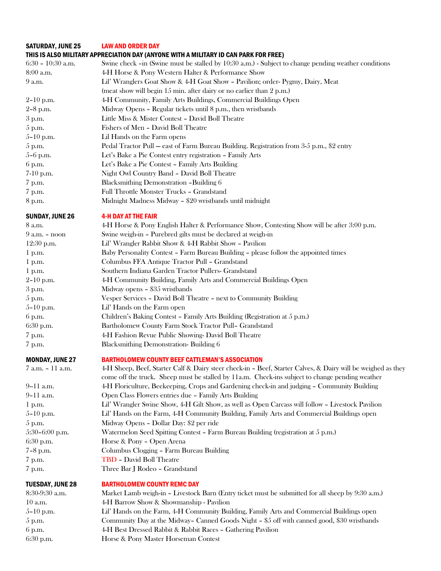## SATURDAY, JUNE 25 LAW AND ORDER DAY

## THIS IS ALSO MILITARY APPRECIATION DAY (ANYONE WITH A MILITARY ID CAN PARK FOR FREE)

| $6:30 - 10:30$ a.m.                                                  | Swine check -in (Swine must be stalled by 10:30 a.m.) - Subject to change pending weather conditions |  |
|----------------------------------------------------------------------|------------------------------------------------------------------------------------------------------|--|
| $8:00$ a.m.                                                          | 4-H Horse & Pony Western Halter & Performance Show                                                   |  |
| 9 a.m.                                                               | Lil' Wranglers Goat Show & 4-H Goat Show - Pavilion; order-Pygmy, Dairy, Meat                        |  |
| (meat show will begin 15 min. after dairy or no earlier than 2 p.m.) |                                                                                                      |  |
| $2-10$ p.m.                                                          | 4-H Community, Family Arts Buildings, Commercial Buildings Open                                      |  |
| $2-8$ p.m.                                                           | Midway Opens - Regular tickets until 8 p.m., then wristbands                                         |  |
| 3 p.m.                                                               | Little Miss & Mister Contest - David Boll Theatre                                                    |  |
| 5 p.m.                                                               | Fishers of Men - David Boll Theatre                                                                  |  |
| $5-10$ p.m.                                                          | Lil Hands on the Farm opens                                                                          |  |
| $5$ p.m.                                                             | Pedal Tractor Pull – east of Farm Bureau Building. Registration from 3-5 p.m., \$2 entry             |  |
| $5-6$ p.m.                                                           | Let's Bake a Pie Contest entry registration - Family Arts                                            |  |
| 6 p.m.                                                               | Let's Bake a Pie Contest – Family Arts Building                                                      |  |
| $7-10$ p.m.                                                          | Night Owl Country Band - David Boll Theatre                                                          |  |
| 7 p.m.                                                               | Blacksmithing Demonstration -Building 6                                                              |  |
| 7 p.m.                                                               | Full Throttle Monster Trucks - Grandstand                                                            |  |
| 8 p.m.                                                               | Midnight Madness Midway – \$20 wristbands until midnight                                             |  |
|                                                                      |                                                                                                      |  |

#### SUNDAY, JUNE 26 4-H DAY AT THE FAIR

| Swine weigh-in - Purebred gilts must be declared at weigh-in<br>$9$ a.m. $-$ noon<br>Lil' Wrangler Rabbit Show & 4-H Rabbit Show - Pavilion<br>$12:30$ p.m.<br>Baby Personality Contest - Farm Bureau Building - please follow the appointed times<br>1 p.m.<br>Columbus FFA Antique Tractor Pull - Grandstand<br>1 p.m.<br>Southern Indiana Garden Tractor Pullers- Grandstand<br>1 p.m.<br>$2-10$ p.m.<br>4-H Community Building, Family Arts and Commercial Buildings Open<br>Midway opens - \$35 wristbands<br>$3$ p.m.<br>Vesper Services - David Boll Theatre - next to Community Building<br>$5$ p.m.<br>$5-10$ p.m. |                             |  |
|-----------------------------------------------------------------------------------------------------------------------------------------------------------------------------------------------------------------------------------------------------------------------------------------------------------------------------------------------------------------------------------------------------------------------------------------------------------------------------------------------------------------------------------------------------------------------------------------------------------------------------|-----------------------------|--|
|                                                                                                                                                                                                                                                                                                                                                                                                                                                                                                                                                                                                                             |                             |  |
|                                                                                                                                                                                                                                                                                                                                                                                                                                                                                                                                                                                                                             |                             |  |
|                                                                                                                                                                                                                                                                                                                                                                                                                                                                                                                                                                                                                             |                             |  |
|                                                                                                                                                                                                                                                                                                                                                                                                                                                                                                                                                                                                                             |                             |  |
|                                                                                                                                                                                                                                                                                                                                                                                                                                                                                                                                                                                                                             |                             |  |
|                                                                                                                                                                                                                                                                                                                                                                                                                                                                                                                                                                                                                             |                             |  |
|                                                                                                                                                                                                                                                                                                                                                                                                                                                                                                                                                                                                                             |                             |  |
|                                                                                                                                                                                                                                                                                                                                                                                                                                                                                                                                                                                                                             |                             |  |
|                                                                                                                                                                                                                                                                                                                                                                                                                                                                                                                                                                                                                             | Lil' Hands on the Farm open |  |
| Children's Baking Contest - Family Arts Building (Registration at 5 p.m.)<br>6 p.m.                                                                                                                                                                                                                                                                                                                                                                                                                                                                                                                                         |                             |  |
| $6:30$ p.m.<br>Bartholomew County Farm Stock Tractor Pull- Grandstand                                                                                                                                                                                                                                                                                                                                                                                                                                                                                                                                                       |                             |  |
| 4-H Fashion Revue Public Showing- David Boll Theatre<br>7 p.m.                                                                                                                                                                                                                                                                                                                                                                                                                                                                                                                                                              |                             |  |
| Blacksmithing Demonstration-Building 6<br>7 p.m.                                                                                                                                                                                                                                                                                                                                                                                                                                                                                                                                                                            |                             |  |

7 a.m. – 11 a.m. 4-H Sheep, Beef, Starter Calf & Dairy steer check-in – Beef, Starter Calves, & Dairy will be weighed as they

Watermelon Seed Spitting Contest - Farm Bureau Building (registration at 5 p.m.)

come off the truck. Sheep must be stalled by 11a.m. Check-ins subject to change pending weather 4-H Floriculture, Beekeeping, Crops and Gardening check-in and judging – Community Building

Lil' Wrangler Swine Show, 4-H Gilt Show, as well as Open Carcass will follow - Livestock Pavilion 5–10 p.m. Lil' Hands on the Farm, 4-H Community Building, Family Arts and Commercial Buildings open

## MONDAY, JUNE 27 BARTHOLOMEW COUNTY BEEF CATTLEMAN'S ASSOCIATION

Midway Opens - Dollar Day: \$2 per ride

7–8 p.m. Columbus Clogging – Farm Bureau Building

Horse & Pony - Open Arena

TBD - David Boll Theatre Three Bar J Rodeo - Grandstand

Open Class Flowers entries due - Family Arts Building

| 9--11 a.m.       |
|------------------|
| 9-11 a.m.        |
| 1 p.m.           |
| $5-10$ p.m.      |
| 5 p.m.           |
| $5:30-6:00$ p.m. |
| $6:30$ p.m.      |
| $7-8$ p.m.       |
| 7 p.m.           |
| 7 p.m.           |

## TUESDAY, JUNE 28 BARTHOLOMEW COUNTY REMC DAY

| 8:30-9:30 a.m. | Market Lamb weigh-in - Livestock Barn (Entry ticket must be submitted for all sheep by 9:30 a.m.) |
|----------------|---------------------------------------------------------------------------------------------------|
| $10$ a.m.      | 4-H Barrow Show & Showmanship - Pavilion                                                          |
| 5-10 p.m.      | Lil' Hands on the Farm, 4-H Community Building, Family Arts and Commercial Buildings open         |
| $5$ p.m.       | Community Day at the Midway-Canned Goods Night - \$5 off with canned good, \$30 wristbands        |
| 6 p.m.         | 4-H Best Dressed Rabbit & Rabbit Races - Gathering Pavilion                                       |
| 6:30 p.m.      | Horse & Pony Master Horseman Contest                                                              |
|                |                                                                                                   |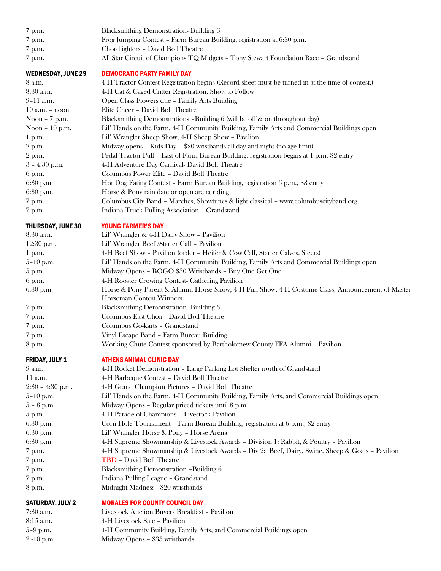| 7 p.m. | Blacksmithing Demonstration-Building 6                                               |
|--------|--------------------------------------------------------------------------------------|
| 7 p.m. | Frog Jumping Contest - Farm Bureau Building, registration at 6:30 p.m.               |
| 7 p.m. | Chordlighters - David Boll Theatre                                                   |
| 7 p.m. | All Star Circuit of Champions TQ Midgets - Tony Stewart Foundation Race - Grandstand |

## WEDNESDAY, JUNE 29 DEMOCRATIC PARTY FAMILY DAY

| 8 a.m.          | 4-H Tractor Contest Registration begins (Record sheet must be turned in at the time of contest.) |  |
|-----------------|--------------------------------------------------------------------------------------------------|--|
| 8:30 a.m.       | 4-H Cat & Caged Critter Registration, Show to Follow                                             |  |
| 9-11 a.m.       | Open Class Flowers due - Family Arts Building                                                    |  |
| 10 a.m. – noon  | Elite Cheer - David Boll Theatre                                                                 |  |
| Noon - 7 p.m.   | Blacksmithing Demonstrations $-$ Building 6 (will be off $\&$ on throughout day)                 |  |
| Noon - 10 p.m.  | Lil' Hands on the Farm, 4-H Community Building, Family Arts and Commercial Buildings open        |  |
| 1 p.m.          | Lil' Wrangler Sheep Show, 4-H Sheep Show - Pavilion                                              |  |
| 2 p.m.          | Midway opens - Kids Day - \$20 wristbands all day and night (no age limit)                       |  |
| 2 p.m.          | Pedal Tractor Pull - East of Farm Bureau Building; registration begins at 1 p.m. \$2 entry       |  |
| $3 - 4:30$ p.m. | 4-H Adventure Day Carnival- David Boll Theatre                                                   |  |
| 6 p.m.          | Columbus Power Elite - David Boll Theatre                                                        |  |
| 6:30 p.m.       | Hot Dog Eating Contest - Farm Bureau Building, registration 6 p.m., \$3 entry                    |  |
| 6:30 p.m.       | Horse & Pony rain date or open arena riding                                                      |  |
| 7 p.m.          | Columbus City Band - Marches, Showtunes & light classical - www.columbuscityband.org             |  |
| 7 p.m.          | Indiana Truck Pulling Association - Grandstand                                                   |  |
|                 |                                                                                                  |  |

# THURSDAY, JUNE 30 YOUNG FARMER'S DAY

| $8:30$ a.m.  | Lil' Wrangler & 4-H Dairy Show - Pavilion                                                        |  |
|--------------|--------------------------------------------------------------------------------------------------|--|
| $12:30$ p.m. | Lil' Wrangler Beef /Starter Calf - Pavilion                                                      |  |
| $1$ p.m.     | 4-H Beef Show - Pavilion (order - Heifer & Cow Calf, Starter Calves, Steers)                     |  |
| $5-10$ p.m.  | Lil' Hands on the Farm, 4-H Community Building, Family Arts and Commercial Buildings open        |  |
| $5$ p.m.     | Midway Opens - BOGO \$30 Wristbands - Buy One Get One                                            |  |
| 6 p.m.       | 4-H Rooster Crowing Contest- Gathering Pavilion                                                  |  |
| $6:30$ p.m.  | Horse & Pony Parent & Alumni Horse Show, 4-H Fun Show, 4-H Costume Class, Announcement of Master |  |
|              | <b>Horseman Contest Winners</b>                                                                  |  |
| 7 p.m.       | Blacksmithing Demonstration-Building 6                                                           |  |
| 7 p.m.       | Columbus East Choir - David Boll Theatre                                                         |  |
| 7 p.m.       | Columbus Go-karts - Grandstand                                                                   |  |
| 7 p.m.       | Vinyl Escape Band - Farm Bureau Building                                                         |  |
| 8 p.m.       | Working Chute Contest sponsored by Bartholomew County FFA Alumni - Pavilion                      |  |

## FRIDAY, JULY 1 **ATHENS ANIMAL CLINIC DAY**

| 9 a.m.             | 4-H Rocket Demonstration - Large Parking Lot Shelter north of Grandstand                         |  |
|--------------------|--------------------------------------------------------------------------------------------------|--|
| $11$ a.m.          | 4-H Barbeque Contest - David Boll Theatre                                                        |  |
| $2:30 - 4:30$ p.m. | 4-H Grand Champion Pictures - David Boll Theatre                                                 |  |
| $5-10$ p.m.        | Lil' Hands on the Farm, 4-H Community Building, Family Arts, and Commercial Buildings open       |  |
| $5 - 8$ p.m.       | Midway Opens - Regular priced tickets until 8 p.m.                                               |  |
| 5 p.m.             | 4-H Parade of Champions - Livestock Pavilion                                                     |  |
| $6:30$ p.m.        | Corn Hole Tournament - Farm Bureau Building, registration at 6 p.m., \$2 entry                   |  |
| $6:30$ p.m.        | Lil' Wrangler Horse & Pony - Horse Arena                                                         |  |
| $6:30$ p.m.        | 4-H Supreme Showmanship & Livestock Awards - Division 1: Rabbit, & Poultry - Pavilion            |  |
| 7 p.m.             | 4-H Supreme Showmanship & Livestock Awards - Div 2: Beef, Dairy, Swine, Sheep & Goats - Pavilion |  |
| 7 p.m.             | <b>TBD</b> - David Boll Theatre                                                                  |  |
| 7 p.m.             | Blacksmithing Demonstration -Building 6                                                          |  |
| 7 p.m.             | Indiana Pulling League - Grandstand                                                              |  |
| 8 p.m.             | Midnight Madness - \$20 wristbands                                                               |  |

## SATURDAY, JULY 2 MORALES FOR COUNTY COUNCIL DAY

| $7:30$ a.m.   | Livestock Auction Buyers Breakfast - Pavilion                      |
|---------------|--------------------------------------------------------------------|
| $8:15$ a.m.   | 4-H Livestock Sale - Pavilion                                      |
| 5-9 p.m.      | 4-H Community Building, Family Arts, and Commercial Buildings open |
| $2 - 10$ p.m. | Midway Opens - \$35 wristbands                                     |
|               |                                                                    |